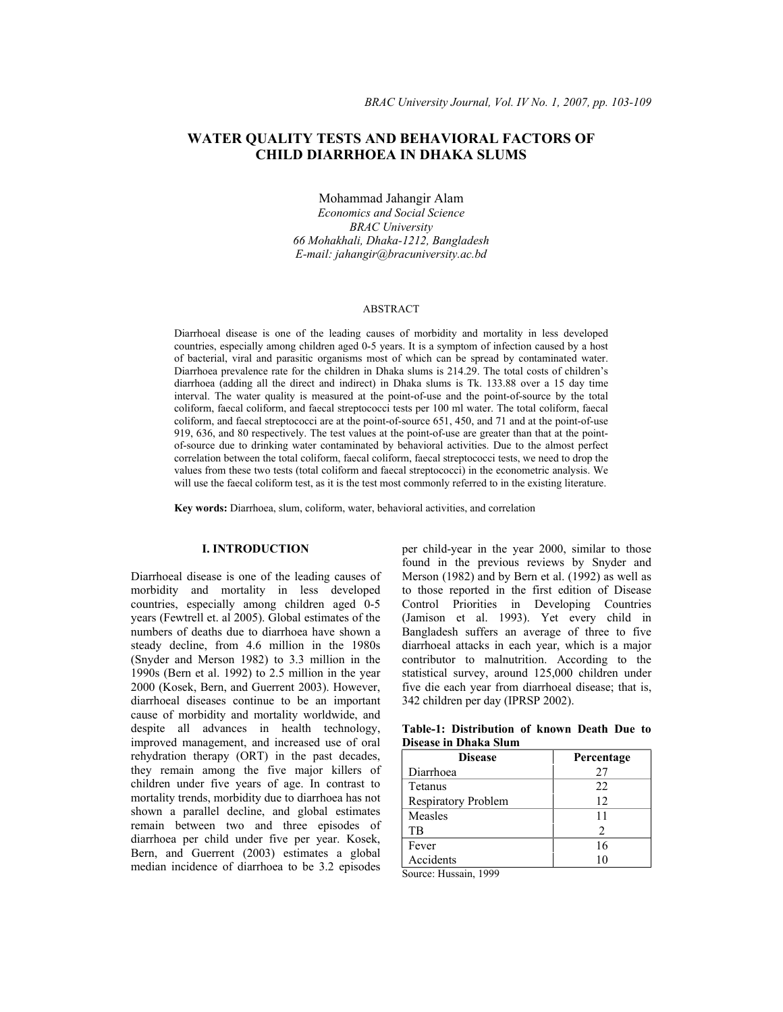# **WATER QUALITY TESTS AND BEHAVIORAL FACTORS OF CHILD DIARRHOEA IN DHAKA SLUMS**

Mohammad Jahangir Alam *Economics and Social Science BRAC University 66 Mohakhali, Dhaka-1212, Bangladesh E-mail: jahangir@bracuniversity.ac.bd* 

#### ABSTRACT

Diarrhoeal disease is one of the leading causes of morbidity and mortality in less developed countries, especially among children aged 0-5 years. It is a symptom of infection caused by a host of bacterial, viral and parasitic organisms most of which can be spread by contaminated water. Diarrhoea prevalence rate for the children in Dhaka slums is 214.29. The total costs of children's diarrhoea (adding all the direct and indirect) in Dhaka slums is Tk. 133.88 over a 15 day time interval. The water quality is measured at the point-of-use and the point-of-source by the total coliform, faecal coliform, and faecal streptococci tests per 100 ml water. The total coliform, faecal coliform, and faecal streptococci are at the point-of-source 651, 450, and 71 and at the point-of-use 919, 636, and 80 respectively. The test values at the point-of-use are greater than that at the pointof-source due to drinking water contaminated by behavioral activities. Due to the almost perfect correlation between the total coliform, faecal coliform, faecal streptococci tests, we need to drop the values from these two tests (total coliform and faecal streptococci) in the econometric analysis. We will use the faecal coliform test, as it is the test most commonly referred to in the existing literature.

**Key words:** Diarrhoea, slum, coliform, water, behavioral activities, and correlation

## **I. INTRODUCTION**

Diarrhoeal disease is one of the leading causes of morbidity and mortality in less developed countries, especially among children aged 0-5 years (Fewtrell et. al 2005). Global estimates of the numbers of deaths due to diarrhoea have shown a steady decline, from 4.6 million in the 1980s (Snyder and Merson 1982) to 3.3 million in the 1990s (Bern et al. 1992) to 2.5 million in the year 2000 (Kosek, Bern, and Guerrent 2003). However, diarrhoeal diseases continue to be an important cause of morbidity and mortality worldwide, and despite all advances in health technology, improved management, and increased use of oral rehydration therapy (ORT) in the past decades, they remain among the five major killers of children under five years of age. In contrast to mortality trends, morbidity due to diarrhoea has not shown a parallel decline, and global estimates remain between two and three episodes of diarrhoea per child under five per year. Kosek, Bern, and Guerrent (2003) estimates a global median incidence of diarrhoea to be 3.2 episodes

per child-year in the year 2000, similar to those found in the previous reviews by Snyder and Merson (1982) and by Bern et al. (1992) as well as to those reported in the first edition of Disease Control Priorities in Developing Countries (Jamison et al. 1993). Yet every child in Bangladesh suffers an average of three to five diarrhoeal attacks in each year, which is a major contributor to malnutrition. According to the statistical survey, around 125,000 children under five die each year from diarrhoeal disease; that is, 342 children per day (IPRSP 2002).

**Table-1: Distribution of known Death Due to Disease in Dhaka Slum** 

| <b>Disease</b>      | Percentage     |
|---------------------|----------------|
| Diarrhoea           | 27             |
| Tetanus             | 22             |
| Respiratory Problem | 12             |
| Measles             | 11             |
| TB                  | $\mathfrak{D}$ |
| Fever               | 16             |
| Accidents           |                |

Source: Hussain, 1999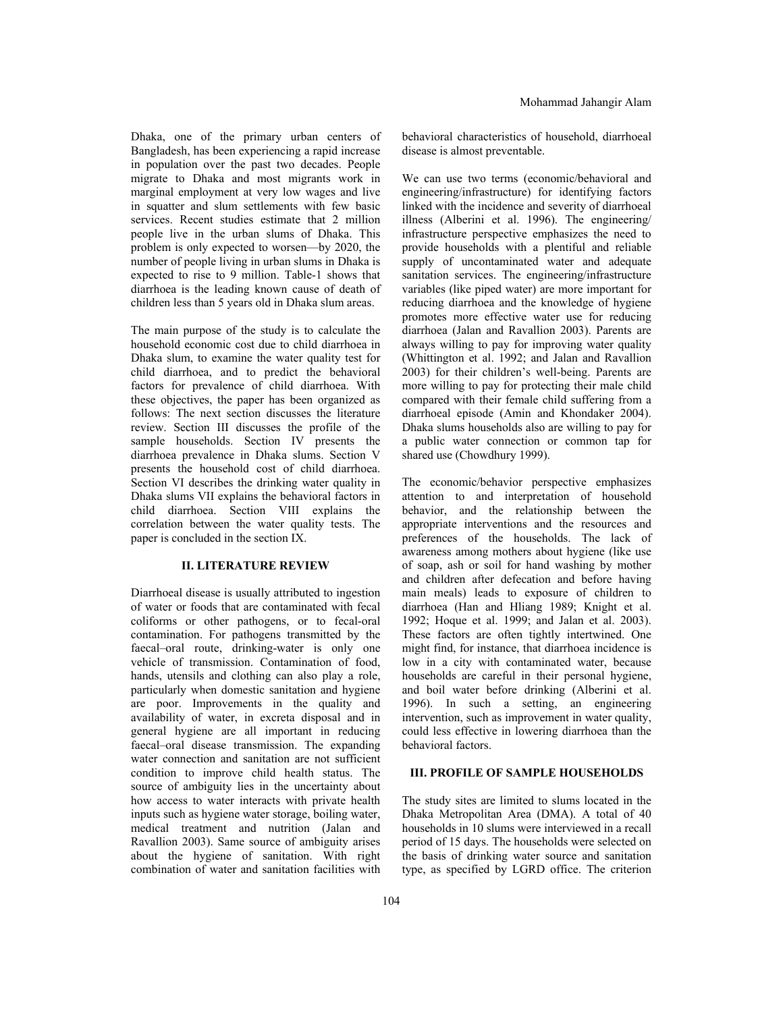Dhaka, one of the primary urban centers of Bangladesh, has been experiencing a rapid increase in population over the past two decades. People migrate to Dhaka and most migrants work in marginal employment at very low wages and live in squatter and slum settlements with few basic services. Recent studies estimate that 2 million people live in the urban slums of Dhaka. This problem is only expected to worsen—by 2020, the number of people living in urban slums in Dhaka is expected to rise to 9 million. Table-1 shows that diarrhoea is the leading known cause of death of children less than 5 years old in Dhaka slum areas.

The main purpose of the study is to calculate the household economic cost due to child diarrhoea in Dhaka slum, to examine the water quality test for child diarrhoea, and to predict the behavioral factors for prevalence of child diarrhoea. With these objectives, the paper has been organized as follows: The next section discusses the literature review. Section III discusses the profile of the sample households. Section IV presents the diarrhoea prevalence in Dhaka slums. Section V presents the household cost of child diarrhoea. Section VI describes the drinking water quality in Dhaka slums VII explains the behavioral factors in child diarrhoea. Section VIII explains the correlation between the water quality tests. The paper is concluded in the section IX.

## **II. LITERATURE REVIEW**

Diarrhoeal disease is usually attributed to ingestion of water or foods that are contaminated with fecal coliforms or other pathogens, or to fecal-oral contamination. For pathogens transmitted by the faecal–oral route, drinking-water is only one vehicle of transmission. Contamination of food, hands, utensils and clothing can also play a role, particularly when domestic sanitation and hygiene are poor. Improvements in the quality and availability of water, in excreta disposal and in general hygiene are all important in reducing faecal–oral disease transmission. The expanding water connection and sanitation are not sufficient condition to improve child health status. The source of ambiguity lies in the uncertainty about how access to water interacts with private health inputs such as hygiene water storage, boiling water, medical treatment and nutrition (Jalan and Ravallion 2003). Same source of ambiguity arises about the hygiene of sanitation. With right combination of water and sanitation facilities with

behavioral characteristics of household, diarrhoeal disease is almost preventable.

We can use two terms (economic/behavioral and engineering/infrastructure) for identifying factors linked with the incidence and severity of diarrhoeal illness (Alberini et al. 1996). The engineering/ infrastructure perspective emphasizes the need to provide households with a plentiful and reliable supply of uncontaminated water and adequate sanitation services. The engineering/infrastructure variables (like piped water) are more important for reducing diarrhoea and the knowledge of hygiene promotes more effective water use for reducing diarrhoea (Jalan and Ravallion 2003). Parents are always willing to pay for improving water quality (Whittington et al. 1992; and Jalan and Ravallion 2003) for their children's well-being. Parents are more willing to pay for protecting their male child compared with their female child suffering from a diarrhoeal episode (Amin and Khondaker 2004). Dhaka slums households also are willing to pay for a public water connection or common tap for shared use (Chowdhury 1999).

The economic/behavior perspective emphasizes attention to and interpretation of household behavior, and the relationship between the appropriate interventions and the resources and preferences of the households. The lack of awareness among mothers about hygiene (like use of soap, ash or soil for hand washing by mother and children after defecation and before having main meals) leads to exposure of children to diarrhoea (Han and Hliang 1989; Knight et al. 1992; Hoque et al. 1999; and Jalan et al. 2003). These factors are often tightly intertwined. One might find, for instance, that diarrhoea incidence is low in a city with contaminated water, because households are careful in their personal hygiene, and boil water before drinking (Alberini et al. 1996). In such a setting, an engineering intervention, such as improvement in water quality, could less effective in lowering diarrhoea than the behavioral factors.

## **III. PROFILE OF SAMPLE HOUSEHOLDS**

The study sites are limited to slums located in the Dhaka Metropolitan Area (DMA). A total of 40 households in 10 slums were interviewed in a recall period of 15 days. The households were selected on the basis of drinking water source and sanitation type, as specified by LGRD office. The criterion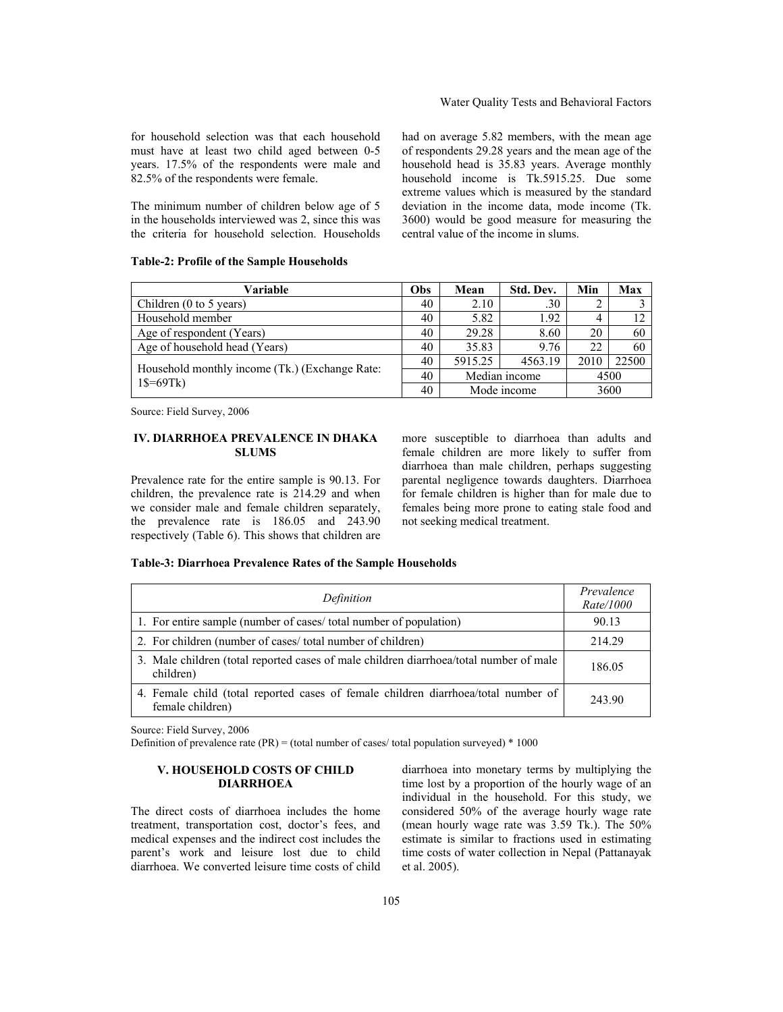for household selection was that each household must have at least two child aged between 0-5 years. 17.5% of the respondents were male and 82.5% of the respondents were female.

The minimum number of children below age of 5 in the households interviewed was 2, since this was the criteria for household selection. Households had on average 5.82 members, with the mean age of respondents 29.28 years and the mean age of the household head is 35.83 years. Average monthly household income is Tk.5915.25. Due some extreme values which is measured by the standard deviation in the income data, mode income (Tk. 3600) would be good measure for measuring the central value of the income in slums.

## **Table-2: Profile of the Sample Households**

| Variable                                                                  |    | Mean          | Std. Dev.   | Min  | Max   |
|---------------------------------------------------------------------------|----|---------------|-------------|------|-------|
| Children (0 to 5 years)                                                   | 40 | 2.10          | .30         |      |       |
| Household member                                                          | 40 | 5.82          | 1.92        |      |       |
| Age of respondent (Years)                                                 | 40 | 29.28         | 8.60        | 20   | 60    |
| Age of household head (Years)                                             | 40 | 35.83         | 9.76        | 22   | 60    |
|                                                                           |    | 5915.25       | 4563.19     | 2010 | 22500 |
| Household monthly income (Tk.) (Exchange Rate:<br>$1\frac{1}{9} = 69$ Tk) | 40 | Median income |             | 4500 |       |
|                                                                           |    |               | Mode income |      | 3600  |

Source: Field Survey, 2006

#### **IV. DIARRHOEA PREVALENCE IN DHAKA SLUMS**

Prevalence rate for the entire sample is 90.13. For children, the prevalence rate is 214.29 and when we consider male and female children separately, the prevalence rate is 186.05 and 243.90 respectively (Table 6). This shows that children are

more susceptible to diarrhoea than adults and female children are more likely to suffer from diarrhoea than male children, perhaps suggesting parental negligence towards daughters. Diarrhoea for female children is higher than for male due to females being more prone to eating stale food and not seeking medical treatment.

### **Table-3: Diarrhoea Prevalence Rates of the Sample Households**

| Definition                                                                                             | Prevalence<br>Rate/1000 |
|--------------------------------------------------------------------------------------------------------|-------------------------|
| 1. For entire sample (number of cases/ total number of population)                                     | 90.13                   |
| 2. For children (number of cases/total number of children)                                             | 214.29                  |
| 3. Male children (total reported cases of male children diarrhoea/total number of male<br>children)    | 186.05                  |
| 4. Female child (total reported cases of female children diarrhoea/total number of<br>female children) | 243.90                  |

Source: Field Survey, 2006

Definition of prevalence rate  $(\text{PR})$  = (total number of cases/ total population surveyed) \* 1000

## **V. HOUSEHOLD COSTS OF CHILD DIARRHOEA**

The direct costs of diarrhoea includes the home treatment, transportation cost, doctor's fees, and medical expenses and the indirect cost includes the parent's work and leisure lost due to child diarrhoea. We converted leisure time costs of child

diarrhoea into monetary terms by multiplying the time lost by a proportion of the hourly wage of an individual in the household. For this study, we considered 50% of the average hourly wage rate (mean hourly wage rate was 3.59 Tk.). The 50% estimate is similar to fractions used in estimating time costs of water collection in Nepal (Pattanayak et al. 2005).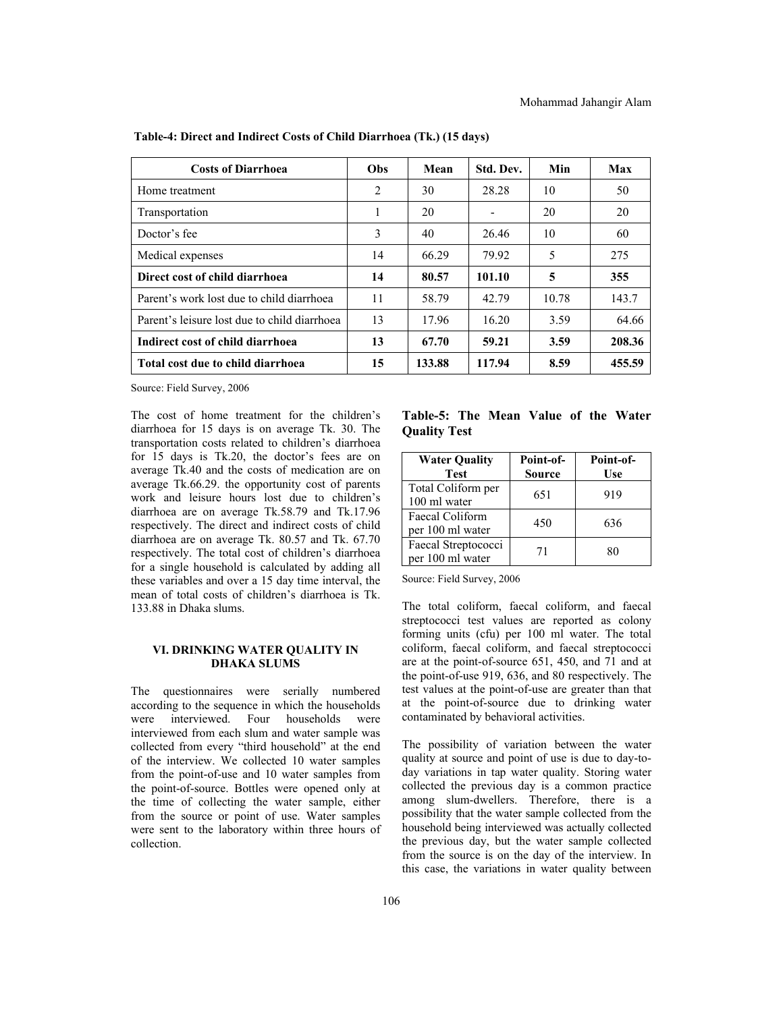| <b>Costs of Diarrhoea</b>                    | Obs | Mean   | Std. Dev.                | Min   | Max    |
|----------------------------------------------|-----|--------|--------------------------|-------|--------|
| Home treatment                               | 2   | 30     | 28.28                    | 10    | 50     |
| Transportation                               |     | 20     | $\overline{\phantom{a}}$ | 20    | 20     |
| Doctor's fee                                 | 3   | 40     | 26.46                    | 10    | 60     |
| Medical expenses                             | 14  | 66.29  | 79.92                    | 5     | 275    |
| Direct cost of child diarrhoea               | 14  | 80.57  | 101.10                   | 5     | 355    |
| Parent's work lost due to child diarrhoea    | 11  | 58.79  | 42.79                    | 10.78 | 143.7  |
| Parent's leisure lost due to child diarrhoea | 13  | 17.96  | 16.20                    | 3.59  | 64.66  |
| Indirect cost of child diarrhoea             | 13  | 67.70  | 59.21                    | 3.59  | 208.36 |
| <b>Total cost due to child diarrhoea</b>     | 15  | 133.88 | 117.94                   | 8.59  | 455.59 |

 **Table-4: Direct and Indirect Costs of Child Diarrhoea (Tk.) (15 days)** 

Source: Field Survey, 2006

The cost of home treatment for the children's diarrhoea for 15 days is on average Tk. 30. The transportation costs related to children's diarrhoea for 15 days is Tk.20, the doctor's fees are on average Tk.40 and the costs of medication are on average Tk.66.29. the opportunity cost of parents work and leisure hours lost due to children's diarrhoea are on average Tk.58.79 and Tk.17.96 respectively. The direct and indirect costs of child diarrhoea are on average Tk. 80.57 and Tk. 67.70 respectively. The total cost of children's diarrhoea for a single household is calculated by adding all these variables and over a 15 day time interval, the mean of total costs of children's diarrhoea is Tk. 133.88 in Dhaka slums.

#### **VI. DRINKING WATER QUALITY IN DHAKA SLUMS**

The questionnaires were serially numbered according to the sequence in which the households were interviewed. Four households were interviewed from each slum and water sample was collected from every "third household" at the end of the interview. We collected 10 water samples from the point-of-use and 10 water samples from the point-of-source. Bottles were opened only at the time of collecting the water sample, either from the source or point of use. Water samples were sent to the laboratory within three hours of collection.

**Table-5: The Mean Value of the Water Quality Test** 

| <b>Water Quality</b><br><b>Test</b>     | Point-of-<br><b>Source</b> | Point-of-<br>Use |
|-----------------------------------------|----------------------------|------------------|
| Total Coliform per<br>100 ml water      | 651                        | 919              |
| Faecal Coliform<br>per 100 ml water     | 450                        | 636              |
| Faecal Streptococci<br>per 100 ml water | 71                         | 80               |

Source: Field Survey, 2006

The total coliform, faecal coliform, and faecal streptococci test values are reported as colony forming units (cfu) per 100 ml water. The total coliform, faecal coliform, and faecal streptococci are at the point-of-source 651, 450, and 71 and at the point-of-use 919, 636, and 80 respectively. The test values at the point-of-use are greater than that at the point-of-source due to drinking water contaminated by behavioral activities.

The possibility of variation between the water quality at source and point of use is due to day-today variations in tap water quality. Storing water collected the previous day is a common practice among slum-dwellers. Therefore, there is a possibility that the water sample collected from the household being interviewed was actually collected the previous day, but the water sample collected from the source is on the day of the interview. In this case, the variations in water quality between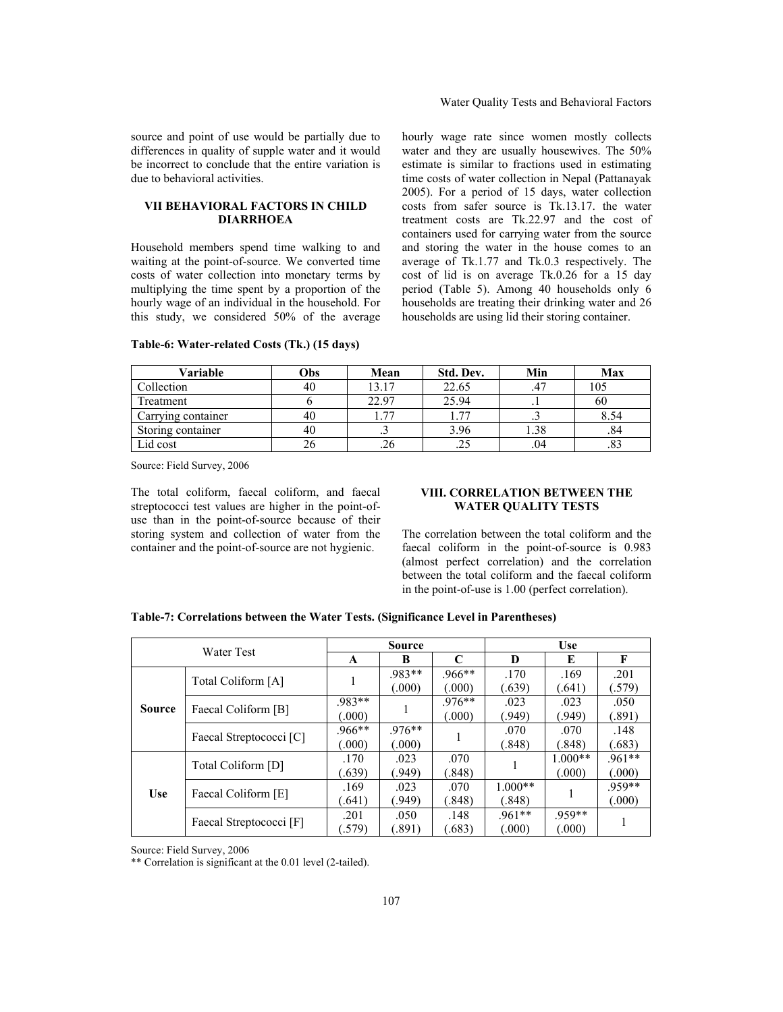### Water Quality Tests and Behavioral Factors

source and point of use would be partially due to differences in quality of supple water and it would be incorrect to conclude that the entire variation is due to behavioral activities.

### **VII BEHAVIORAL FACTORS IN CHILD DIARRHOEA**

Household members spend time walking to and waiting at the point-of-source. We converted time costs of water collection into monetary terms by multiplying the time spent by a proportion of the hourly wage of an individual in the household. For this study, we considered 50% of the average hourly wage rate since women mostly collects water and they are usually housewives. The 50% estimate is similar to fractions used in estimating time costs of water collection in Nepal (Pattanayak 2005). For a period of 15 days, water collection costs from safer source is Tk.13.17. the water treatment costs are Tk.22.97 and the cost of containers used for carrying water from the source and storing the water in the house comes to an average of Tk.1.77 and Tk.0.3 respectively. The cost of lid is on average Tk.0.26 for a 15 day period (Table 5). Among 40 households only 6 households are treating their drinking water and 26 households are using lid their storing container.

| Variable           | Obs | Mean      | Std. Dev. | Min            | Max            |
|--------------------|-----|-----------|-----------|----------------|----------------|
| Collection         | 40  | 13.17     | 22.65     | .47            | 105            |
| Treatment          |     | 22.97     | 25.94     | . .            | 60             |
| Carrying container | 40  | 77        | 77        | $\cdot$ $\sim$ | 8.54           |
| Storing container  | 40  | $\ddotsc$ | 3.96      | 1.38           | .84            |
| Lid cost           | 26  | .20       | .25       | .04            | $\circ$<br>ده. |

#### **Table-6: Water-related Costs (Tk.) (15 days)**

Source: Field Survey, 2006

The total coliform, faecal coliform, and faecal streptococci test values are higher in the point-ofuse than in the point-of-source because of their storing system and collection of water from the container and the point-of-source are not hygienic.

## **VIII. CORRELATION BETWEEN THE WATER QUALITY TESTS**

The correlation between the total coliform and the faecal coliform in the point-of-source is 0.983 (almost perfect correlation) and the correlation between the total coliform and the faecal coliform in the point-of-use is 1.00 (perfect correlation).

| Water Test    |                         | <b>Source</b>    |                    |                              | <b>Use</b>          |                     |                    |
|---------------|-------------------------|------------------|--------------------|------------------------------|---------------------|---------------------|--------------------|
|               |                         | A                | B                  | $\mathsf{C}$                 | D                   | E                   | F                  |
| <b>Source</b> | Total Coliform [A]      |                  | .983**<br>(.000)   | $.966**$<br>000 <sub>0</sub> | .170<br>(.639)      | .169<br>(.641)      | .201<br>(579)      |
|               | Faecal Coliform [B]     | .983**<br>.000)  |                    | $976**$<br>000 <sub>0</sub>  | .023<br>(949)       | .023<br>(949)       | .050<br>(.891)     |
|               | Faecal Streptococci [C] | .966**<br>(.000) | $.976**$<br>(.000) |                              | .070<br>(.848)      | .070<br>(.848)      | .148<br>(.683)     |
| <b>Use</b>    | Total Coliform [D]      | .170<br>(.639)   | .023<br>(949)      | .070<br>(.848)               |                     | $1.000**$<br>(.000) | $.961**$<br>(.000) |
|               | Faecal Coliform [E]     | .169<br>.641)    | .023<br>(949).     | .070<br>(.848)               | $1.000**$<br>(.848) |                     | 959**<br>(.000)    |
|               | Faecal Streptococci [F] | .201<br>.579)    | .050<br>(.891)     | .148<br>.683)                | $.961**$<br>(.000)  | .959**<br>(.000)    |                    |

## **Table-7: Correlations between the Water Tests. (Significance Level in Parentheses)**

Source: Field Survey, 2006

\*\* Correlation is significant at the 0.01 level (2-tailed).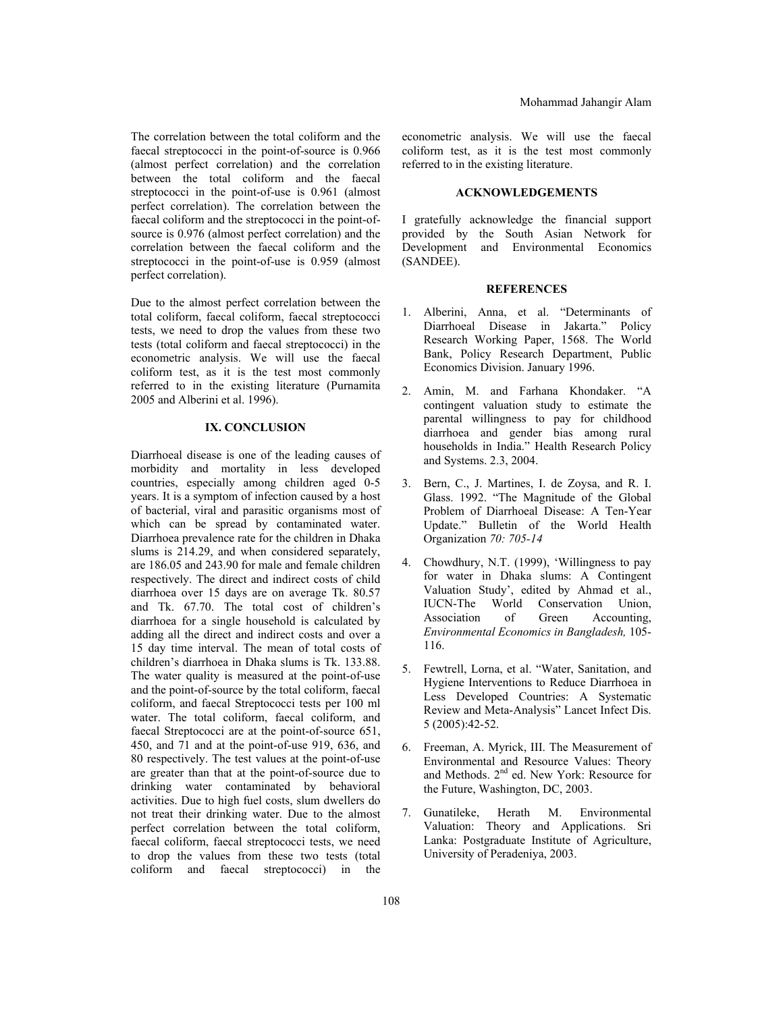The correlation between the total coliform and the faecal streptococci in the point-of-source is 0.966 (almost perfect correlation) and the correlation between the total coliform and the faecal streptococci in the point-of-use is 0.961 (almost perfect correlation). The correlation between the faecal coliform and the streptococci in the point-ofsource is 0.976 (almost perfect correlation) and the correlation between the faecal coliform and the streptococci in the point-of-use is 0.959 (almost perfect correlation).

Due to the almost perfect correlation between the total coliform, faecal coliform, faecal streptococci tests, we need to drop the values from these two tests (total coliform and faecal streptococci) in the econometric analysis. We will use the faecal coliform test, as it is the test most commonly referred to in the existing literature (Purnamita 2005 and Alberini et al. 1996).

#### **IX. CONCLUSION**

Diarrhoeal disease is one of the leading causes of morbidity and mortality in less developed countries, especially among children aged 0-5 years. It is a symptom of infection caused by a host of bacterial, viral and parasitic organisms most of which can be spread by contaminated water. Diarrhoea prevalence rate for the children in Dhaka slums is 214.29, and when considered separately, are 186.05 and 243.90 for male and female children respectively. The direct and indirect costs of child diarrhoea over 15 days are on average Tk. 80.57 and Tk. 67.70. The total cost of children's diarrhoea for a single household is calculated by adding all the direct and indirect costs and over a 15 day time interval. The mean of total costs of children's diarrhoea in Dhaka slums is Tk. 133.88. The water quality is measured at the point-of-use and the point-of-source by the total coliform, faecal coliform, and faecal Streptococci tests per 100 ml water. The total coliform, faecal coliform, and faecal Streptococci are at the point-of-source 651, 450, and 71 and at the point-of-use 919, 636, and 80 respectively. The test values at the point-of-use are greater than that at the point-of-source due to drinking water contaminated by behavioral activities. Due to high fuel costs, slum dwellers do not treat their drinking water. Due to the almost perfect correlation between the total coliform, faecal coliform, faecal streptococci tests, we need to drop the values from these two tests (total coliform and faecal streptococci) in the

econometric analysis. We will use the faecal coliform test, as it is the test most commonly referred to in the existing literature.

#### **ACKNOWLEDGEMENTS**

I gratefully acknowledge the financial support provided by the South Asian Network for Development and Environmental Economics (SANDEE).

### **REFERENCES**

- 1. Alberini, Anna, et al. "Determinants of Diarrhoeal Disease in Jakarta." Policy Research Working Paper, 1568. The World Bank, Policy Research Department, Public Economics Division. January 1996.
- 2. Amin, M. and Farhana Khondaker. "A contingent valuation study to estimate the parental willingness to pay for childhood diarrhoea and gender bias among rural households in India." Health Research Policy and Systems. 2.3, 2004.
- 3. Bern, C., J. Martines, I. de Zoysa, and R. I. Glass. 1992. "The Magnitude of the Global Problem of Diarrhoeal Disease: A Ten-Year Update." Bulletin of the World Health Organization *70: 705-14*
- 4. Chowdhury, N.T. (1999), 'Willingness to pay for water in Dhaka slums: A Contingent Valuation Study', edited by Ahmad et al., IUCN-The World Conservation Union, Association of Green Accounting, *Environmental Economics in Bangladesh,* 105- 116.
- 5. Fewtrell, Lorna, et al. "Water, Sanitation, and Hygiene Interventions to Reduce Diarrhoea in Less Developed Countries: A Systematic Review and Meta-Analysis" Lancet Infect Dis. 5 (2005):42-52.
- 6. Freeman, A. Myrick, III. The Measurement of Environmental and Resource Values: Theory and Methods. 2nd ed. New York: Resource for the Future, Washington, DC, 2003.
- 7. Gunatileke, Herath M. Environmental Valuation: Theory and Applications. Sri Lanka: Postgraduate Institute of Agriculture, University of Peradeniya, 2003.